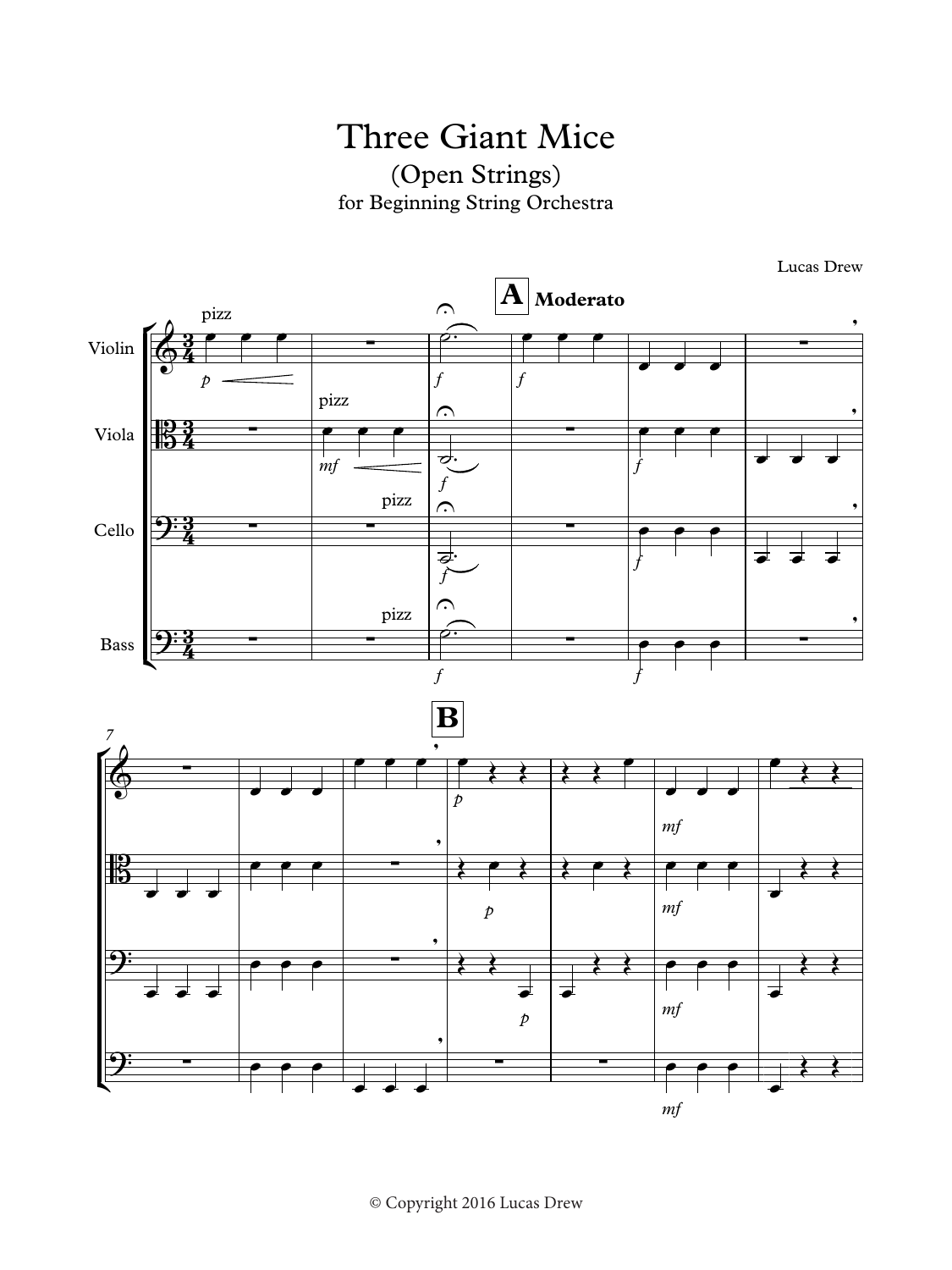Three Giant Mice (Open Strings) for Beginning String Orchestra  $n$ g



© Copyright 2016 Lucas Drew  $\sum_{i=1}^n$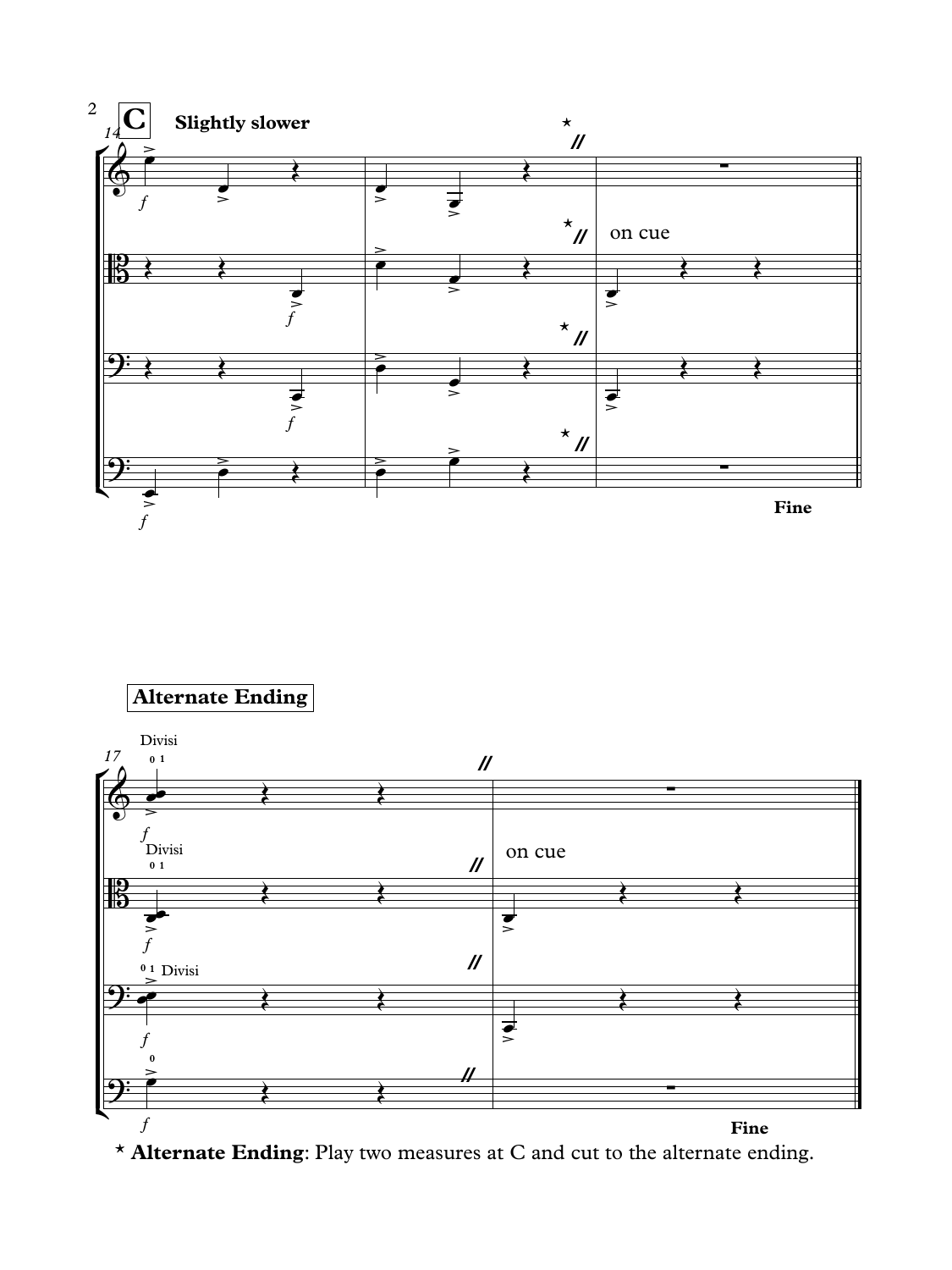

## **Alternate Ending**



\* **Alternate Ending**: Play two measures at C and cut to the alternate ending.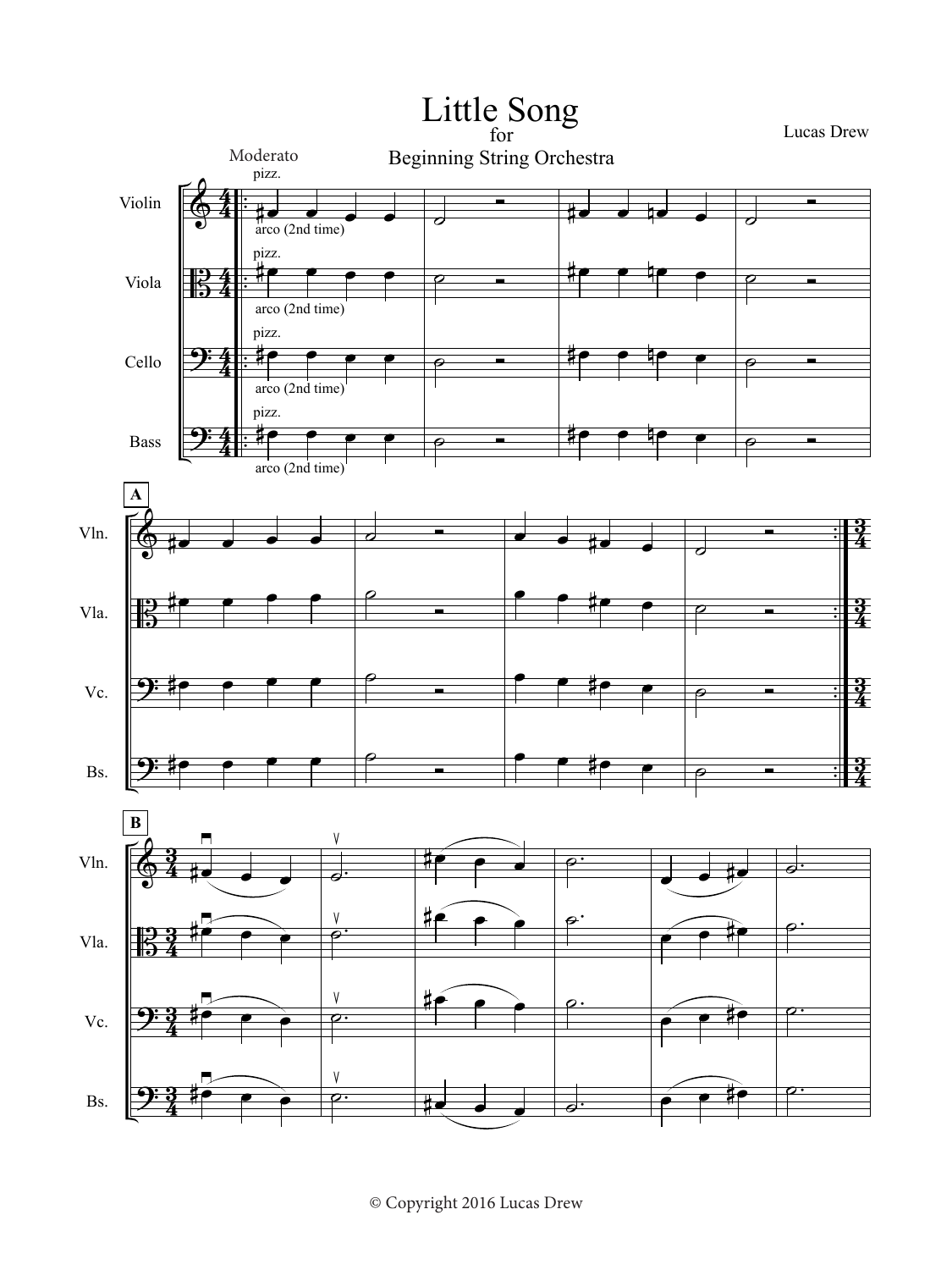

© Copyright 2016 Lucas Drew